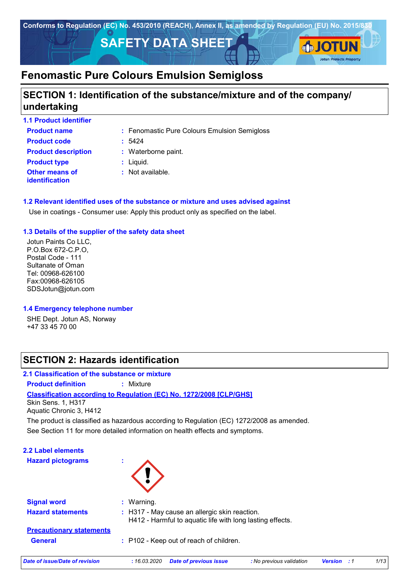

# **SECTION 1: Identification of the substance/mixture and of the company/ undertaking**

| <b>1.1 Product identifier</b>                  |                                              |
|------------------------------------------------|----------------------------------------------|
| <b>Product name</b>                            | : Fenomastic Pure Colours Emulsion Semigloss |
| <b>Product code</b>                            | : 5424                                       |
| <b>Product description</b>                     | : Waterborne paint.                          |
| <b>Product type</b>                            | : Liquid.                                    |
| <b>Other means of</b><br><b>identification</b> | : Not available.                             |

### **1.2 Relevant identified uses of the substance or mixture and uses advised against**

Use in coatings - Consumer use: Apply this product only as specified on the label.

### **1.3 Details of the supplier of the safety data sheet**

Jotun Paints Co LLC, P.O.Box 672-C.P.O, Postal Code - 111 Sultanate of Oman Tel: 00968-626100 Fax:00968-626105 SDSJotun@jotun.com

#### **1.4 Emergency telephone number**

SHE Dept. Jotun AS, Norway +47 33 45 70 00

# **SECTION 2: Hazards identification**

### **2.1 Classification of the substance or mixture**

**Product definition :** Mixture

**Classification according to Regulation (EC) No. 1272/2008 [CLP/GHS]**

Skin Sens. 1, H317 Aquatic Chronic 3, H412

The product is classified as hazardous according to Regulation (EC) 1272/2008 as amended.

See Section 11 for more detailed information on health effects and symptoms.

| <b>2.2 Label elements</b><br><b>Hazard pictograms</b> | ٠           |                                                                                                            |                          |                |     |      |
|-------------------------------------------------------|-------------|------------------------------------------------------------------------------------------------------------|--------------------------|----------------|-----|------|
| <b>Signal word</b>                                    | : Warning.  |                                                                                                            |                          |                |     |      |
| <b>Hazard statements</b>                              |             | : H317 - May cause an allergic skin reaction.<br>H412 - Harmful to aquatic life with long lasting effects. |                          |                |     |      |
| <b>Precautionary statements</b>                       |             |                                                                                                            |                          |                |     |      |
| <b>General</b>                                        |             | : P102 - Keep out of reach of children.                                                                    |                          |                |     |      |
| Date of issue/Date of revision                        | :16.03.2020 | <b>Date of previous issue</b>                                                                              | : No previous validation | <b>Version</b> | - 1 | 1/13 |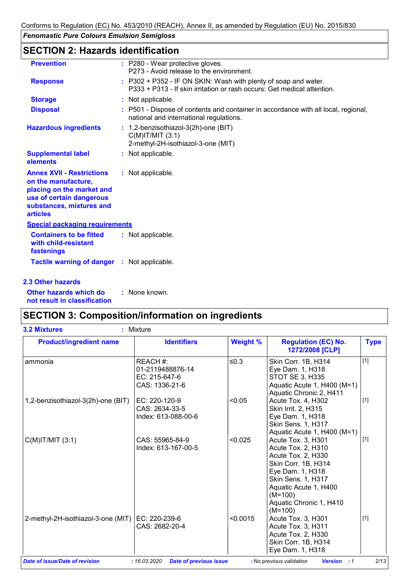# **SECTION 2: Hazards identification**

| <b>Prevention</b>                                                                                                                                               | : P280 - Wear protective gloves.<br>P273 - Avoid release to the environment.                                                               |
|-----------------------------------------------------------------------------------------------------------------------------------------------------------------|--------------------------------------------------------------------------------------------------------------------------------------------|
| <b>Response</b>                                                                                                                                                 | : P302 + P352 - IF ON SKIN: Wash with plenty of soap and water.<br>P333 + P313 - If skin irritation or rash occurs: Get medical attention. |
| <b>Storage</b>                                                                                                                                                  | : Not applicable.                                                                                                                          |
| <b>Disposal</b>                                                                                                                                                 | : P501 - Dispose of contents and container in accordance with all local, regional,<br>national and international regulations.              |
| <b>Hazardous ingredients</b>                                                                                                                                    | : 1,2-benzisothiazol-3(2h)-one (BIT)<br>$C(M)$ IT/MIT $(3:1)$<br>2-methyl-2H-isothiazol-3-one (MIT)                                        |
| <b>Supplemental label</b><br>elements                                                                                                                           | : Not applicable.                                                                                                                          |
| <b>Annex XVII - Restrictions</b><br>on the manufacture,<br>placing on the market and<br>use of certain dangerous<br>substances, mixtures and<br><b>articles</b> | : Not applicable.                                                                                                                          |
| <b>Special packaging requirements</b>                                                                                                                           |                                                                                                                                            |
| <b>Containers to be fitted</b><br>with child-resistant<br>fastenings                                                                                            | : Not applicable.                                                                                                                          |
| Tactile warning of danger : Not applicable.                                                                                                                     |                                                                                                                                            |
| 2.3 Other hazards                                                                                                                                               |                                                                                                                                            |

**Other hazards which do : not result in classification** : None known.

# **SECTION 3: Composition/information on ingredients**

| <b>Product/ingredient name</b>     | <b>Identifiers</b>                                              | <b>Weight %</b> | <b>Regulation (EC) No.</b><br>1272/2008 [CLP]                                                                                                                                                                        | <b>Type</b> |
|------------------------------------|-----------------------------------------------------------------|-----------------|----------------------------------------------------------------------------------------------------------------------------------------------------------------------------------------------------------------------|-------------|
| ammonia                            | REACH #:<br>01-2119488876-14<br>EC: 215-647-6<br>CAS: 1336-21-6 | $\leq 0.3$      | Skin Corr. 1B, H314<br>Eye Dam. 1, H318<br>STOT SE 3, H335<br>Aquatic Acute 1, H400 (M=1)<br>Aquatic Chronic 2, H411                                                                                                 | $[1]$       |
| 1,2-benzisothiazol-3(2h)-one (BIT) | EC: $220-120-9$<br>CAS: 2634-33-5<br>Index: 613-088-00-6        | < 0.05          | Acute Tox. 4, H302<br>Skin Irrit. 2, H315<br>Eye Dam. 1, H318<br><b>Skin Sens. 1, H317</b><br>Aquatic Acute 1, H400 (M=1)                                                                                            | $[1]$       |
| $C(M)$ IT/MIT $(3:1)$              | CAS: 55965-84-9<br>Index: 613-167-00-5                          | < 0.025         | Acute Tox. 3, H301<br>Acute Tox. 2, H310<br>Acute Tox. 2, H330<br>Skin Corr. 1B, H314<br>Eye Dam. 1, H318<br><b>Skin Sens. 1, H317</b><br>Aquatic Acute 1, H400<br>$(M=100)$<br>Aquatic Chronic 1, H410<br>$(M=100)$ | $[1]$       |
| 2-methyl-2H-isothiazol-3-one (MIT) | $EC: 220-239-6$<br>CAS: 2682-20-4                               | < 0.0015        | Acute Tox. 3, H301<br>Acute Tox. 3, H311<br>Acute Tox. 2, H330<br>Skin Corr. 1B, H314<br>Eye Dam. 1, H318                                                                                                            | $[1]$       |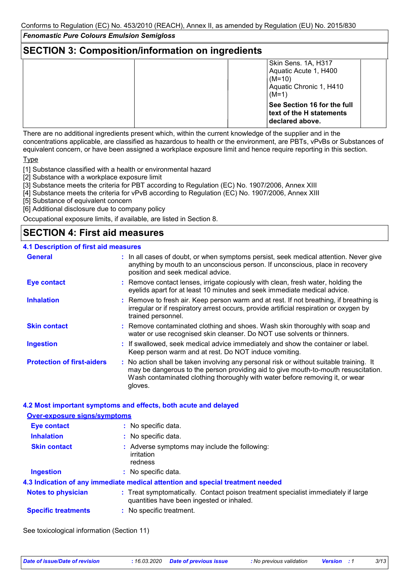# **SECTION 3: Composition/information on ingredients**

| ີ                                                                                              |
|------------------------------------------------------------------------------------------------|
| Skin Sens. 1A, H317<br>Aquatic Acute 1, H400<br>$(M=10)$<br>Aquatic Chronic 1, H410<br>$(M=1)$ |
| See Section 16 for the full<br>text of the H statements<br>declared above.                     |

There are no additional ingredients present which, within the current knowledge of the supplier and in the concentrations applicable, are classified as hazardous to health or the environment, are PBTs, vPvBs or Substances of equivalent concern, or have been assigned a workplace exposure limit and hence require reporting in this section.

**Type** 

[1] Substance classified with a health or environmental hazard

[2] Substance with a workplace exposure limit

[3] Substance meets the criteria for PBT according to Regulation (EC) No. 1907/2006, Annex XIII

- [4] Substance meets the criteria for vPvB according to Regulation (EC) No. 1907/2006, Annex XIII
- [5] Substance of equivalent concern

[6] Additional disclosure due to company policy

Occupational exposure limits, if available, are listed in Section 8.

# **SECTION 4: First aid measures**

#### **4.1 Description of first aid measures**

| <b>General</b>                    | : In all cases of doubt, or when symptoms persist, seek medical attention. Never give<br>anything by mouth to an unconscious person. If unconscious, place in recovery<br>position and seek medical advice.                                                              |
|-----------------------------------|--------------------------------------------------------------------------------------------------------------------------------------------------------------------------------------------------------------------------------------------------------------------------|
| <b>Eye contact</b>                | : Remove contact lenses, irrigate copiously with clean, fresh water, holding the<br>eyelids apart for at least 10 minutes and seek immediate medical advice.                                                                                                             |
| <b>Inhalation</b>                 | : Remove to fresh air. Keep person warm and at rest. If not breathing, if breathing is<br>irregular or if respiratory arrest occurs, provide artificial respiration or oxygen by<br>trained personnel.                                                                   |
| <b>Skin contact</b>               | : Remove contaminated clothing and shoes. Wash skin thoroughly with soap and<br>water or use recognised skin cleanser. Do NOT use solvents or thinners.                                                                                                                  |
| <b>Ingestion</b>                  | : If swallowed, seek medical advice immediately and show the container or label.<br>Keep person warm and at rest. Do NOT induce vomiting.                                                                                                                                |
| <b>Protection of first-aiders</b> | : No action shall be taken involving any personal risk or without suitable training. It<br>may be dangerous to the person providing aid to give mouth-to-mouth resuscitation.<br>Wash contaminated clothing thoroughly with water before removing it, or wear<br>gloves. |

#### **4.2 Most important symptoms and effects, both acute and delayed**

| <b>Over-exposure signs/symptoms</b> |                                                                                                                                |
|-------------------------------------|--------------------------------------------------------------------------------------------------------------------------------|
| <b>Eye contact</b>                  | : No specific data.                                                                                                            |
| <b>Inhalation</b>                   | : No specific data.                                                                                                            |
| <b>Skin contact</b>                 | : Adverse symptoms may include the following:<br>irritation<br>redness                                                         |
| <b>Ingestion</b>                    | : No specific data.                                                                                                            |
|                                     | 4.3 Indication of any immediate medical attention and special treatment needed                                                 |
| <b>Notes to physician</b>           | : Treat symptomatically. Contact poison treatment specialist immediately if large<br>quantities have been ingested or inhaled. |
| <b>Specific treatments</b>          | : No specific treatment.                                                                                                       |

See toxicological information (Section 11)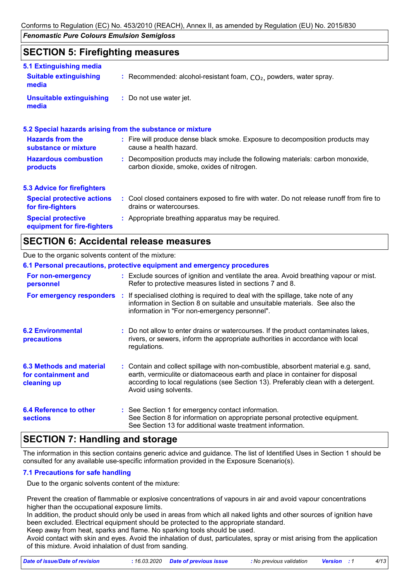### **SECTION 5: Firefighting measures**

| 5.1 Extinguishing media                                  |                                                                                                                              |
|----------------------------------------------------------|------------------------------------------------------------------------------------------------------------------------------|
| <b>Suitable extinguishing</b><br>media                   | : Recommended: alcohol-resistant foam, $CO2$ , powders, water spray.                                                         |
| <b>Unsuitable extinguishing</b><br>media                 | : Do not use water jet.                                                                                                      |
|                                                          | 5.2 Special hazards arising from the substance or mixture                                                                    |
| <b>Hazards from the</b><br>substance or mixture          | : Fire will produce dense black smoke. Exposure to decomposition products may<br>cause a health hazard.                      |
| <b>Hazardous combustion</b><br>products                  | : Decomposition products may include the following materials: carbon monoxide,<br>carbon dioxide, smoke, oxides of nitrogen. |
| <b>5.3 Advice for firefighters</b>                       |                                                                                                                              |
| <b>Special protective actions</b><br>for fire-fighters   | : Cool closed containers exposed to fire with water. Do not release runoff from fire to<br>drains or watercourses.           |
| <b>Special protective</b><br>equipment for fire-fighters | : Appropriate breathing apparatus may be required.                                                                           |

### **SECTION 6: Accidental release measures**

#### Due to the organic solvents content of the mixture:

|                                                                | 6.1 Personal precautions, protective equipment and emergency procedures                                                                                                                                                                                                            |
|----------------------------------------------------------------|------------------------------------------------------------------------------------------------------------------------------------------------------------------------------------------------------------------------------------------------------------------------------------|
| For non-emergency<br>personnel                                 | : Exclude sources of ignition and ventilate the area. Avoid breathing vapour or mist.<br>Refer to protective measures listed in sections 7 and 8.                                                                                                                                  |
|                                                                | <b>For emergency responders</b> : If specialised clothing is required to deal with the spillage, take note of any<br>information in Section 8 on suitable and unsuitable materials. See also the<br>information in "For non-emergency personnel".                                  |
| <b>6.2 Environmental</b><br><b>precautions</b>                 | : Do not allow to enter drains or watercourses. If the product contaminates lakes,<br>rivers, or sewers, inform the appropriate authorities in accordance with local<br>regulations.                                                                                               |
| 6.3 Methods and material<br>for containment and<br>cleaning up | : Contain and collect spillage with non-combustible, absorbent material e.g. sand,<br>earth, vermiculite or diatomaceous earth and place in container for disposal<br>according to local regulations (see Section 13). Preferably clean with a detergent.<br>Avoid using solvents. |
| 6.4 Reference to other<br><b>sections</b>                      | : See Section 1 for emergency contact information.<br>See Section 8 for information on appropriate personal protective equipment.<br>See Section 13 for additional waste treatment information.                                                                                    |

# **SECTION 7: Handling and storage**

The information in this section contains generic advice and guidance. The list of Identified Uses in Section 1 should be consulted for any available use-specific information provided in the Exposure Scenario(s).

#### **7.1 Precautions for safe handling**

Due to the organic solvents content of the mixture:

Prevent the creation of flammable or explosive concentrations of vapours in air and avoid vapour concentrations higher than the occupational exposure limits.

In addition, the product should only be used in areas from which all naked lights and other sources of ignition have been excluded. Electrical equipment should be protected to the appropriate standard.

Keep away from heat, sparks and flame. No sparking tools should be used.

Avoid contact with skin and eyes. Avoid the inhalation of dust, particulates, spray or mist arising from the application of this mixture. Avoid inhalation of dust from sanding.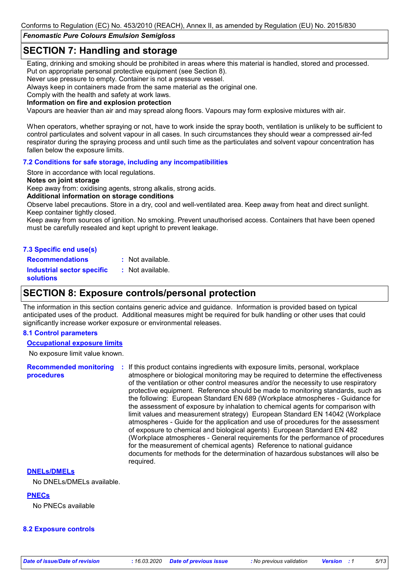Conforms to Regulation (EC) No. 453/2010 (REACH), Annex II, as amended by Regulation (EU) No. 2015/830

*Fenomastic Pure Colours Emulsion Semigloss*

# **SECTION 7: Handling and storage**

Eating, drinking and smoking should be prohibited in areas where this material is handled, stored and processed. Put on appropriate personal protective equipment (see Section 8).

Never use pressure to empty. Container is not a pressure vessel.

Always keep in containers made from the same material as the original one.

Comply with the health and safety at work laws.

**Information on fire and explosion protection**

Vapours are heavier than air and may spread along floors. Vapours may form explosive mixtures with air.

When operators, whether spraying or not, have to work inside the spray booth, ventilation is unlikely to be sufficient to control particulates and solvent vapour in all cases. In such circumstances they should wear a compressed air-fed respirator during the spraying process and until such time as the particulates and solvent vapour concentration has fallen below the exposure limits.

#### **7.2 Conditions for safe storage, including any incompatibilities**

Store in accordance with local regulations.

#### **Notes on joint storage**

Keep away from: oxidising agents, strong alkalis, strong acids.

#### **Additional information on storage conditions**

Observe label precautions. Store in a dry, cool and well-ventilated area. Keep away from heat and direct sunlight. Keep container tightly closed.

Keep away from sources of ignition. No smoking. Prevent unauthorised access. Containers that have been opened must be carefully resealed and kept upright to prevent leakage.

#### **7.3 Specific end use(s)**

**Recommendations : Industrial sector specific : solutions** : Not available. : Not available.

### **SECTION 8: Exposure controls/personal protection**

The information in this section contains generic advice and guidance. Information is provided based on typical anticipated uses of the product. Additional measures might be required for bulk handling or other uses that could significantly increase worker exposure or environmental releases.

#### **8.1 Control parameters**

#### **Occupational exposure limits**

No exposure limit value known.

**Recommended monitoring procedures :** If this product contains ingredients with exposure limits, personal, workplace atmosphere or biological monitoring may be required to determine the effectiveness of the ventilation or other control measures and/or the necessity to use respiratory protective equipment. Reference should be made to monitoring standards, such as the following: European Standard EN 689 (Workplace atmospheres - Guidance for the assessment of exposure by inhalation to chemical agents for comparison with limit values and measurement strategy) European Standard EN 14042 (Workplace atmospheres - Guide for the application and use of procedures for the assessment of exposure to chemical and biological agents) European Standard EN 482 (Workplace atmospheres - General requirements for the performance of procedures for the measurement of chemical agents) Reference to national guidance documents for methods for the determination of hazardous substances will also be required.

#### **DNELs/DMELs**

No DNELs/DMELs available.

**PNECs** No PNECs available

#### **8.2 Exposure controls**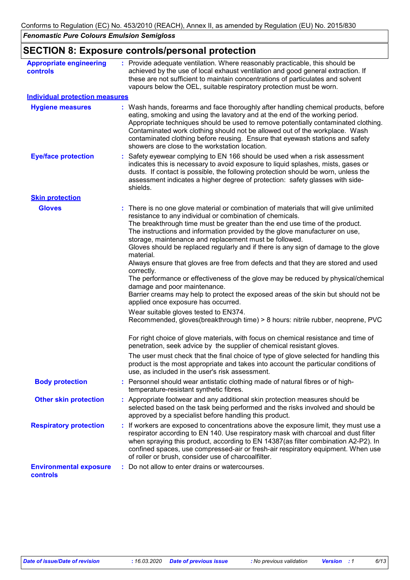# **SECTION 8: Exposure controls/personal protection**

| <b>Appropriate engineering</b><br>controls | : Provide adequate ventilation. Where reasonably practicable, this should be<br>achieved by the use of local exhaust ventilation and good general extraction. If<br>these are not sufficient to maintain concentrations of particulates and solvent<br>vapours below the OEL, suitable respiratory protection must be worn.                                                                                                                                                                                                                                                                                                                                                                                                                                                                                                                                                                                                                                                                                                                                                                                                                                                                                                                                                                                   |
|--------------------------------------------|---------------------------------------------------------------------------------------------------------------------------------------------------------------------------------------------------------------------------------------------------------------------------------------------------------------------------------------------------------------------------------------------------------------------------------------------------------------------------------------------------------------------------------------------------------------------------------------------------------------------------------------------------------------------------------------------------------------------------------------------------------------------------------------------------------------------------------------------------------------------------------------------------------------------------------------------------------------------------------------------------------------------------------------------------------------------------------------------------------------------------------------------------------------------------------------------------------------------------------------------------------------------------------------------------------------|
| <b>Individual protection measures</b>      |                                                                                                                                                                                                                                                                                                                                                                                                                                                                                                                                                                                                                                                                                                                                                                                                                                                                                                                                                                                                                                                                                                                                                                                                                                                                                                               |
| <b>Hygiene measures</b>                    | : Wash hands, forearms and face thoroughly after handling chemical products, before<br>eating, smoking and using the lavatory and at the end of the working period.<br>Appropriate techniques should be used to remove potentially contaminated clothing.<br>Contaminated work clothing should not be allowed out of the workplace. Wash<br>contaminated clothing before reusing. Ensure that eyewash stations and safety<br>showers are close to the workstation location.                                                                                                                                                                                                                                                                                                                                                                                                                                                                                                                                                                                                                                                                                                                                                                                                                                   |
| <b>Eye/face protection</b>                 | : Safety eyewear complying to EN 166 should be used when a risk assessment<br>indicates this is necessary to avoid exposure to liquid splashes, mists, gases or<br>dusts. If contact is possible, the following protection should be worn, unless the<br>assessment indicates a higher degree of protection: safety glasses with side-<br>shields.                                                                                                                                                                                                                                                                                                                                                                                                                                                                                                                                                                                                                                                                                                                                                                                                                                                                                                                                                            |
| <b>Skin protection</b>                     |                                                                                                                                                                                                                                                                                                                                                                                                                                                                                                                                                                                                                                                                                                                                                                                                                                                                                                                                                                                                                                                                                                                                                                                                                                                                                                               |
| <b>Gloves</b>                              | There is no one glove material or combination of materials that will give unlimited<br>resistance to any individual or combination of chemicals.<br>The breakthrough time must be greater than the end use time of the product.<br>The instructions and information provided by the glove manufacturer on use,<br>storage, maintenance and replacement must be followed.<br>Gloves should be replaced regularly and if there is any sign of damage to the glove<br>material.<br>Always ensure that gloves are free from defects and that they are stored and used<br>correctly.<br>The performance or effectiveness of the glove may be reduced by physical/chemical<br>damage and poor maintenance.<br>Barrier creams may help to protect the exposed areas of the skin but should not be<br>applied once exposure has occurred.<br>Wear suitable gloves tested to EN374.<br>Recommended, gloves(breakthrough time) > 8 hours: nitrile rubber, neoprene, PVC<br>For right choice of glove materials, with focus on chemical resistance and time of<br>penetration, seek advice by the supplier of chemical resistant gloves.<br>The user must check that the final choice of type of glove selected for handling this<br>product is the most appropriate and takes into account the particular conditions of |
| <b>Body protection</b>                     | use, as included in the user's risk assessment.<br>Personnel should wear antistatic clothing made of natural fibres or of high-                                                                                                                                                                                                                                                                                                                                                                                                                                                                                                                                                                                                                                                                                                                                                                                                                                                                                                                                                                                                                                                                                                                                                                               |
| <b>Other skin protection</b>               | temperature-resistant synthetic fibres.<br>: Appropriate footwear and any additional skin protection measures should be<br>selected based on the task being performed and the risks involved and should be<br>approved by a specialist before handling this product.                                                                                                                                                                                                                                                                                                                                                                                                                                                                                                                                                                                                                                                                                                                                                                                                                                                                                                                                                                                                                                          |
| <b>Respiratory protection</b>              | : If workers are exposed to concentrations above the exposure limit, they must use a<br>respirator according to EN 140. Use respiratory mask with charcoal and dust filter<br>when spraying this product, according to EN 14387(as filter combination A2-P2). In<br>confined spaces, use compressed-air or fresh-air respiratory equipment. When use<br>of roller or brush, consider use of charcoalfilter.                                                                                                                                                                                                                                                                                                                                                                                                                                                                                                                                                                                                                                                                                                                                                                                                                                                                                                   |
| <b>Environmental exposure</b><br>controls  | : Do not allow to enter drains or watercourses.                                                                                                                                                                                                                                                                                                                                                                                                                                                                                                                                                                                                                                                                                                                                                                                                                                                                                                                                                                                                                                                                                                                                                                                                                                                               |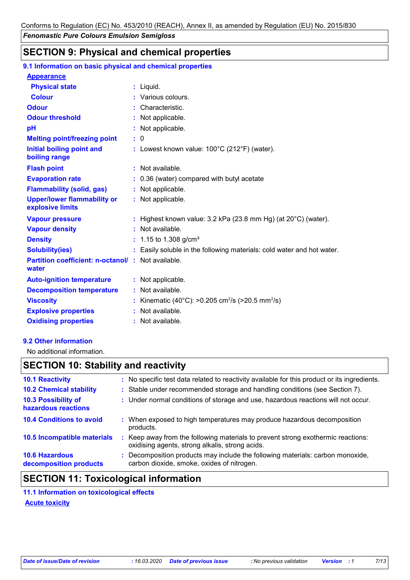# **SECTION 9: Physical and chemical properties**

| 9.1 Information on basic physical and chemical properties         |                                                                            |
|-------------------------------------------------------------------|----------------------------------------------------------------------------|
| <b>Appearance</b>                                                 |                                                                            |
| <b>Physical state</b>                                             | $:$ Liquid.                                                                |
| <b>Colour</b>                                                     | : Various colours.                                                         |
| <b>Odour</b>                                                      | Characteristic.                                                            |
| <b>Odour threshold</b>                                            | Not applicable.                                                            |
| pH                                                                | : Not applicable.                                                          |
| <b>Melting point/freezing point</b>                               | $\mathbf{.}0$                                                              |
| <b>Initial boiling point and</b><br>boiling range                 | : Lowest known value: $100^{\circ}$ C (212 $^{\circ}$ F) (water).          |
| <b>Flash point</b>                                                | : Not available.                                                           |
| <b>Evaporation rate</b>                                           | : 0.36 (water) compared with butyl acetate                                 |
| <b>Flammability (solid, gas)</b>                                  | : Not applicable.                                                          |
| <b>Upper/lower flammability or</b><br>explosive limits            | : Not applicable.                                                          |
| <b>Vapour pressure</b>                                            | : Highest known value: $3.2$ kPa (23.8 mm Hg) (at $20^{\circ}$ C) (water). |
| <b>Vapour density</b>                                             | : Not available.                                                           |
| <b>Density</b>                                                    | 1.15 to 1.308 g/cm <sup>3</sup>                                            |
| <b>Solubility(ies)</b>                                            | Easily soluble in the following materials: cold water and hot water.       |
| <b>Partition coefficient: n-octanol/: Not available.</b><br>water |                                                                            |
| <b>Auto-ignition temperature</b>                                  | : Not applicable.                                                          |
| <b>Decomposition temperature</b>                                  | Not available.                                                             |
| <b>Viscosity</b>                                                  | Kinematic (40°C): >0.205 cm <sup>2</sup> /s (>20.5 mm <sup>2</sup> /s)     |
| <b>Explosive properties</b>                                       | : Not available.                                                           |
| <b>Oxidising properties</b>                                       | : Not available.                                                           |

### **9.2 Other information**

No additional information.

# **SECTION 10: Stability and reactivity**

| : No specific test data related to reactivity available for this product or its ingredients.                                        |
|-------------------------------------------------------------------------------------------------------------------------------------|
| : Stable under recommended storage and handling conditions (see Section 7).                                                         |
| : Under normal conditions of storage and use, hazardous reactions will not occur.                                                   |
| : When exposed to high temperatures may produce hazardous decomposition<br>products.                                                |
| : Keep away from the following materials to prevent strong exothermic reactions:<br>oxidising agents, strong alkalis, strong acids. |
| : Decomposition products may include the following materials: carbon monoxide,<br>carbon dioxide, smoke, oxides of nitrogen.        |
|                                                                                                                                     |

# **SECTION 11: Toxicological information**

**11.1 Information on toxicological effects Acute toxicity**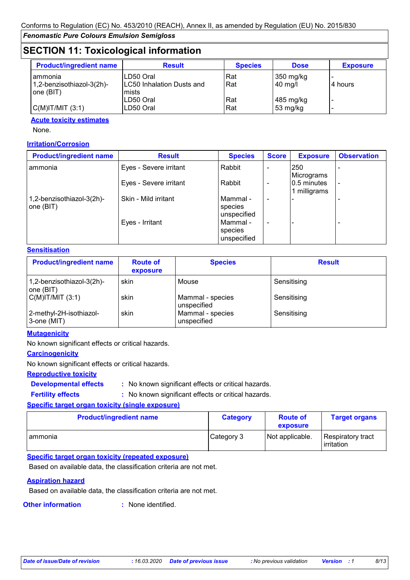# **SECTION 11: Toxicological information**

| <b>Product/ingredient name</b> | <b>Result</b>              | <b>Species</b> | <b>Dose</b> | <b>Exposure</b> |
|--------------------------------|----------------------------|----------------|-------------|-----------------|
| I ammonia                      | LD50 Oral                  | Rat            | 350 mg/kg   |                 |
| $1,2$ -benzisothiazol-3(2h)-   | ILC50 Inhalation Dusts and | Rat            | $40$ mg/    | 4 hours         |
| one(BIT)                       | mists                      |                |             |                 |
|                                | LD50 Oral                  | Rat            | 485 mg/kg   |                 |
| $C(M)$ IT/MIT $(3:1)$          | LD50 Oral                  | Rat            | 53 mg/kg    |                 |

#### **Acute toxicity estimates**

None.

#### **Irritation/Corrosion**

| <b>Product/ingredient name</b>           | <b>Result</b>          | <b>Species</b>                     | <b>Score</b> | <b>Exposure</b>           | <b>Observation</b> |
|------------------------------------------|------------------------|------------------------------------|--------------|---------------------------|--------------------|
| I ammonia                                | Eyes - Severe irritant | Rabbit                             |              | 250<br>Micrograms         |                    |
|                                          | Eyes - Severe irritant | Rabbit                             |              | 0.5 minutes<br>milligrams |                    |
| 1,2-benzisothiazol-3(2h)-<br>one $(BIT)$ | Skin - Mild irritant   | Mammal -<br>species<br>unspecified |              |                           |                    |
|                                          | Eyes - Irritant        | Mammal -<br>species<br>unspecified |              |                           |                    |

#### **Sensitisation**

| <b>Product/ingredient name</b>         | <b>Route of</b><br>exposure | <b>Species</b>                  | <b>Result</b> |
|----------------------------------------|-----------------------------|---------------------------------|---------------|
| 1,2-benzisothiazol-3(2h)-<br>one (BIT) | skin                        | Mouse                           | Sensitising   |
| $C(M)$ IT/MIT $(3:1)$                  | skin                        | Mammal - species<br>unspecified | Sensitising   |
| 2-methyl-2H-isothiazol-<br>3-one (MIT) | skin                        | Mammal - species<br>unspecified | Sensitising   |

#### **Mutagenicity**

No known significant effects or critical hazards.

#### **Carcinogenicity**

No known significant effects or critical hazards.

### **Reproductive toxicity**

**Developmental effects :**

: No known significant effects or critical hazards. : No known significant effects or critical hazards.

# **Fertility effects :**

**Specific target organ toxicity (single exposure) Product/ingredient name Category Route of** 

| <b>Product/ingredient name</b> | <b>Category</b> | <b>Route of</b><br>exposure | <b>Target organs</b>            |
|--------------------------------|-----------------|-----------------------------|---------------------------------|
| ammonia                        | Category 3      | Not applicable.             | Respiratory tract<br>irritation |

### **Specific target organ toxicity (repeated exposure)**

Based on available data, the classification criteria are not met.

#### **Aspiration hazard**

Based on available data, the classification criteria are not met.

**Other information :** : None identified.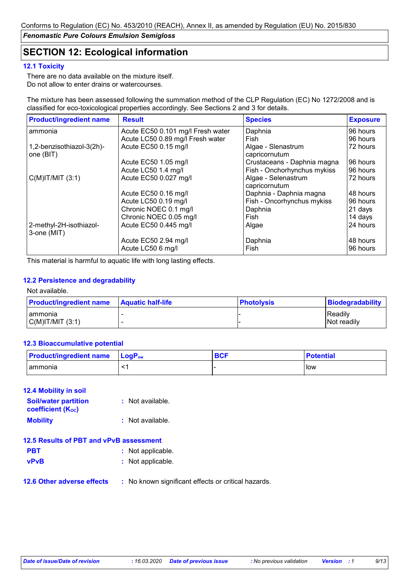# **SECTION 12: Ecological information**

#### **12.1 Toxicity**

There are no data available on the mixture itself. Do not allow to enter drains or watercourses.

The mixture has been assessed following the summation method of the CLP Regulation (EC) No 1272/2008 and is classified for eco-toxicological properties accordingly. See Sections 2 and 3 for details.

| <b>Product/ingredient name</b>         | <b>Result</b>                     | <b>Species</b>                       | <b>Exposure</b> |
|----------------------------------------|-----------------------------------|--------------------------------------|-----------------|
| ammonia                                | Acute EC50 0.101 mg/l Fresh water | Daphnia                              | 96 hours        |
|                                        | Acute LC50 0.89 mg/l Fresh water  | Fish                                 | 96 hours        |
| 1,2-benzisothiazol-3(2h)-              | Acute EC50 0.15 mg/l              | Algae - Slenastrum                   | 72 hours        |
| one (BIT)                              |                                   | capricornutum                        |                 |
|                                        | Acute EC50 1.05 mg/l              | Crustaceans - Daphnia magna          | 96 hours        |
|                                        | Acute LC50 1.4 mg/l               | Fish - Onchorhynchus mykiss          | 96 hours        |
| $C(M)$ IT/MIT $(3:1)$                  | Acute EC50 0.027 mg/l             | Algae - Selenastrum<br>capricornutum | 72 hours        |
|                                        | Acute EC50 0.16 mg/l              | Daphnia - Daphnia magna              | 48 hours        |
|                                        | Acute LC50 0.19 mg/l              | Fish - Oncorhynchus mykiss           | 96 hours        |
|                                        | Chronic NOEC 0.1 mg/l             | Daphnia                              | 21 days         |
|                                        | Chronic NOEC 0.05 mg/l            | Fish                                 | 14 days         |
| 2-methyl-2H-isothiazol-<br>3-one (MIT) | Acute EC50 0.445 mg/l             | Algae                                | 24 hours        |
|                                        | Acute EC50 2.94 mg/l              | Daphnia                              | 48 hours        |
|                                        | Acute LC50 6 mg/l                 | Fish                                 | 96 hours        |

This material is harmful to aquatic life with long lasting effects.

#### **12.2 Persistence and degradability**

#### Not available.

| <b>Product/ingredient name</b> | <b>Aquatic half-life</b> | <b>Photolysis</b> | Biodegradability |
|--------------------------------|--------------------------|-------------------|------------------|
| Tammonia                       |                          |                   | Readily          |
| C(M) T/MIT (3:1)               |                          |                   | Not readily      |

#### **12.3 Bioaccumulative potential**

| <b>Product/ingredient name</b> | $\mathsf{LocP}_\mathsf{ow}$ | <b>BCF</b> | <b>Potential</b> |
|--------------------------------|-----------------------------|------------|------------------|
| <b>ammonia</b>                 |                             |            | l Iow            |

#### **12.4 Mobility in soil**

| <b>Soil/water partition</b><br><b>coefficient (Koc)</b> | : Not available. |
|---------------------------------------------------------|------------------|
| <b>Mobility</b>                                         | : Not available. |

| 12.5 Results of PBT and vPvB assessment |  |
|-----------------------------------------|--|
|-----------------------------------------|--|

| <b>PBT</b> | : Not applicable. |
|------------|-------------------|
|------------|-------------------|

- **vPvB :** Not applicable.
- **12.6 Other adverse effects** : No known significant effects or critical hazards.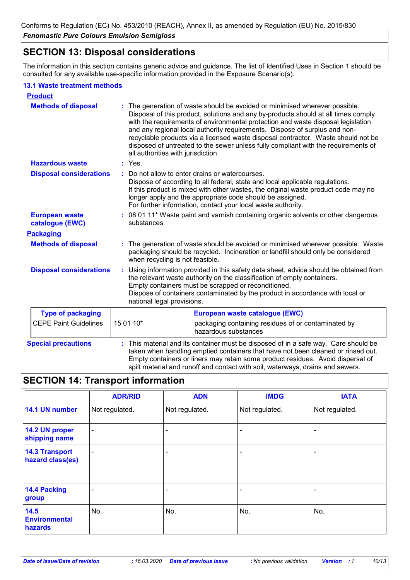# **SECTION 13: Disposal considerations**

The information in this section contains generic advice and guidance. The list of Identified Uses in Section 1 should be consulted for any available use-specific information provided in the Exposure Scenario(s).

#### **13.1 Waste treatment methods**

| <b>Product</b>                           |                                                                                                                                                                                                                                                                                                                                                                                                                                                                                                                                                    |
|------------------------------------------|----------------------------------------------------------------------------------------------------------------------------------------------------------------------------------------------------------------------------------------------------------------------------------------------------------------------------------------------------------------------------------------------------------------------------------------------------------------------------------------------------------------------------------------------------|
| <b>Methods of disposal</b>               | The generation of waste should be avoided or minimised wherever possible.<br>Disposal of this product, solutions and any by-products should at all times comply<br>with the requirements of environmental protection and waste disposal legislation<br>and any regional local authority requirements. Dispose of surplus and non-<br>recyclable products via a licensed waste disposal contractor. Waste should not be<br>disposed of untreated to the sewer unless fully compliant with the requirements of<br>all authorities with jurisdiction. |
| <b>Hazardous waste</b>                   | : Yes.                                                                                                                                                                                                                                                                                                                                                                                                                                                                                                                                             |
| <b>Disposal considerations</b>           | Do not allow to enter drains or watercourses.<br>Dispose of according to all federal, state and local applicable regulations.<br>If this product is mixed with other wastes, the original waste product code may no<br>longer apply and the appropriate code should be assigned.<br>For further information, contact your local waste authority.                                                                                                                                                                                                   |
| <b>European waste</b><br>catalogue (EWC) | : 08 01 11* Waste paint and varnish containing organic solvents or other dangerous<br>substances                                                                                                                                                                                                                                                                                                                                                                                                                                                   |
| <b>Packaging</b>                         |                                                                                                                                                                                                                                                                                                                                                                                                                                                                                                                                                    |
| <b>Methods of disposal</b>               | The generation of waste should be avoided or minimised wherever possible. Waste<br>packaging should be recycled. Incineration or landfill should only be considered<br>when recycling is not feasible.                                                                                                                                                                                                                                                                                                                                             |
| <b>Disposal considerations</b>           | Using information provided in this safety data sheet, advice should be obtained from<br>÷.<br>the relevant waste authority on the classification of empty containers.<br>Empty containers must be scrapped or reconditioned.<br>Dispose of containers contaminated by the product in accordance with local or<br>national legal provisions.                                                                                                                                                                                                        |
| <b>Type of packaging</b>                 | European waste catalogue (EWC)                                                                                                                                                                                                                                                                                                                                                                                                                                                                                                                     |
| <b>CEPE Paint Guidelines</b>             | 15 01 10*<br>packaging containing residues of or contaminated by<br>hazardous substances                                                                                                                                                                                                                                                                                                                                                                                                                                                           |
| <b>Special precautions</b>               | This material and its container must be disposed of in a safe way. Care should be<br>taken when handling emptied containers that have not been cleaned or rinsed out.<br>Empty containers or liners may retain some product residues. Avoid dispersal of<br>spilt material and runoff and contact with soil, waterways, drains and sewers.                                                                                                                                                                                                         |

# **SECTION 14: Transport information**

|                                           | <b>ADR/RID</b> | <b>ADN</b>     | <b>IMDG</b>    | <b>IATA</b>    |
|-------------------------------------------|----------------|----------------|----------------|----------------|
| 14.1 UN number                            | Not regulated. | Not regulated. | Not regulated. | Not regulated. |
| 14.2 UN proper<br>shipping name           | $\blacksquare$ |                |                |                |
| <b>14.3 Transport</b><br>hazard class(es) | ۰              |                |                |                |
| <b>14.4 Packing</b><br>group              |                |                |                |                |
| 14.5<br><b>Environmental</b><br>hazards   | No.            | No.            | No.            | No.            |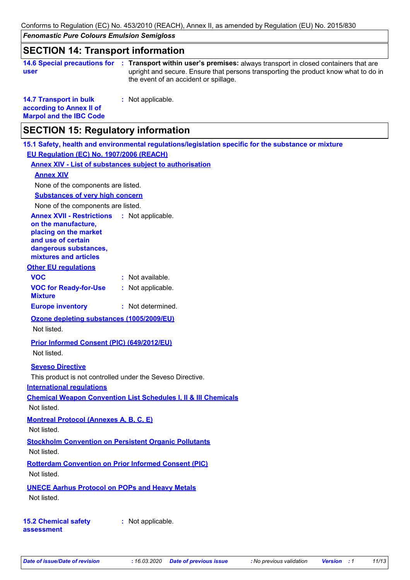Conforms to Regulation (EC) No. 453/2010 (REACH), Annex II, as amended by Regulation (EU) No. 2015/830

*Fenomastic Pure Colours Emulsion Semigloss*

### **SECTION 14: Transport information**

|      | 14.6 Special precautions for : Transport within user's premises: always transport in closed containers that are |
|------|-----------------------------------------------------------------------------------------------------------------|
| user | upright and secure. Ensure that persons transporting the product know what to do in                             |
|      | the event of an accident or spillage.                                                                           |

**14.7 Transport in bulk according to Annex II of Marpol and the IBC Code :** Not applicable.

# **SECTION 15: Regulatory information**

**15.1 Safety, health and environmental regulations/legislation specific for the substance or mixture EU Regulation (EC) No. 1907/2006 (REACH)**

**Annex XIV - List of substances subject to authorisation**

#### **Annex XIV**

None of the components are listed.

### **Substances of very high concern**

None of the components are listed.

#### **Annex XVII - Restrictions** : Not applicable.

**on the manufacture, placing on the market and use of certain dangerous substances,**

**mixtures and articles**

### **Other EU regulations**

| <b>VOC</b>                   | : Not available.  |
|------------------------------|-------------------|
| <b>VOC for Ready-for-Use</b> | : Not applicable. |
| <b>Mixture</b>               |                   |
| <b>Europe inventory</b>      | : Not determined. |

### **Ozone depleting substances (1005/2009/EU)**

Not listed.

### **Prior Informed Consent (PIC) (649/2012/EU)**

Not listed.

### **Seveso Directive**

This product is not controlled under the Seveso Directive.

**International regulations**

**Chemical Weapon Convention List Schedules I, II & III Chemicals**

Not listed.

### **Montreal Protocol (Annexes A, B, C, E)**

Not listed.

### **Stockholm Convention on Persistent Organic Pollutants**

Not listed.

#### **Rotterdam Convention on Prior Informed Consent (PIC)** Not listed.

### **UNECE Aarhus Protocol on POPs and Heavy Metals**

Not listed.

### **15.2 Chemical safety assessment**

**:** Not applicable.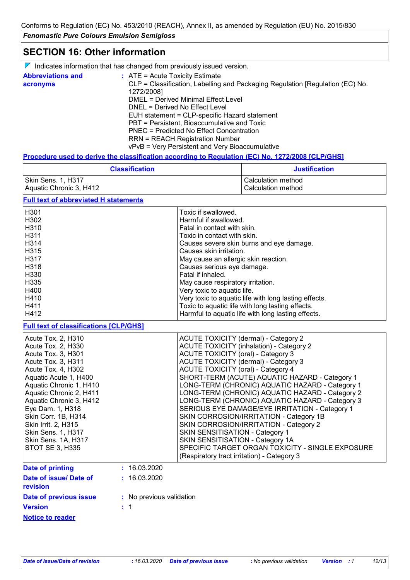# **SECTION 16: Other information**

| $\nabla$ Indicates information that has changed from previously issued version. |  |  |
|---------------------------------------------------------------------------------|--|--|
|                                                                                 |  |  |

| <b>Abbreviations and</b> | $\therefore$ ATE = Acute Toxicity Estimate                                    |
|--------------------------|-------------------------------------------------------------------------------|
| acronyms                 | CLP = Classification, Labelling and Packaging Regulation [Regulation (EC) No. |
|                          | 1272/2008]                                                                    |
|                          | DMEL = Derived Minimal Effect Level                                           |
|                          | DNEL = Derived No Effect Level                                                |
|                          | EUH statement = CLP-specific Hazard statement                                 |
|                          | PBT = Persistent, Bioaccumulative and Toxic                                   |
|                          | PNEC = Predicted No Effect Concentration                                      |
|                          | <b>RRN = REACH Registration Number</b>                                        |
|                          | vPvB = Very Persistent and Very Bioaccumulative                               |

#### **Procedure used to derive the classification according to Regulation (EC) No. 1272/2008 [CLP/GHS]**

| <b>Classification</b>   | <b>Justification</b> |
|-------------------------|----------------------|
| Skin Sens. 1, H317      | l Calculation method |
| Aquatic Chronic 3, H412 | l Calculation method |

### **Full text of abbreviated H statements**

| H <sub>301</sub>  | Toxic if swallowed.                                   |
|-------------------|-------------------------------------------------------|
| H <sub>302</sub>  | Harmful if swallowed.                                 |
| H <sub>310</sub>  | Fatal in contact with skin.                           |
| H <sub>3</sub> 11 | Toxic in contact with skin.                           |
| H314              | Causes severe skin burns and eye damage.              |
| H <sub>315</sub>  | Causes skin irritation.                               |
| H317              | May cause an allergic skin reaction.                  |
| H318              | Causes serious eye damage.                            |
| H330              | Fatal if inhaled.                                     |
| H335              | May cause respiratory irritation.                     |
| H400              | Very toxic to aquatic life.                           |
| H410              | Very toxic to aquatic life with long lasting effects. |
| H411              | Toxic to aquatic life with long lasting effects.      |
| H412              | Harmful to aquatic life with long lasting effects.    |

### **Full text of classifications [CLP/GHS]**

| Acute Tox. 2, H310        | <b>ACUTE TOXICITY (dermal) - Category 2</b>      |
|---------------------------|--------------------------------------------------|
| Acute Tox. 2, H330        | <b>ACUTE TOXICITY (inhalation) - Category 2</b>  |
| Acute Tox. 3, H301        | <b>ACUTE TOXICITY (oral) - Category 3</b>        |
| Acute Tox. 3, H311        | ACUTE TOXICITY (dermal) - Category 3             |
| Acute Tox. 4, H302        | ACUTE TOXICITY (oral) - Category 4               |
| Aquatic Acute 1, H400     | SHORT-TERM (ACUTE) AQUATIC HAZARD - Category 1   |
| Aquatic Chronic 1, H410   | LONG-TERM (CHRONIC) AQUATIC HAZARD - Category 1  |
| Aquatic Chronic 2, H411   | LONG-TERM (CHRONIC) AQUATIC HAZARD - Category 2  |
| Aquatic Chronic 3, H412   | LONG-TERM (CHRONIC) AQUATIC HAZARD - Category 3  |
| Eye Dam. 1, H318          | SERIOUS EYE DAMAGE/EYE IRRITATION - Category 1   |
| Skin Corr. 1B, H314       | SKIN CORROSION/IRRITATION - Category 1B          |
| Skin Irrit. 2, H315       | SKIN CORROSION/IRRITATION - Category 2           |
| <b>Skin Sens. 1, H317</b> | SKIN SENSITISATION - Category 1                  |
| Skin Sens. 1A, H317       | SKIN SENSITISATION - Category 1A                 |
| STOT SE 3, H335           | SPECIFIC TARGET ORGAN TOXICITY - SINGLE EXPOSURE |
|                           | (Respiratory tract irritation) - Category 3      |

| Date of printing                   | : 16.03.2020             |
|------------------------------------|--------------------------|
| Date of issue/ Date of<br>revision | : 16.03.2020             |
| Date of previous issue             | : No previous validation |
| <b>Version</b>                     | $\pm$ 1                  |
| <b>Notice to reader</b>            |                          |